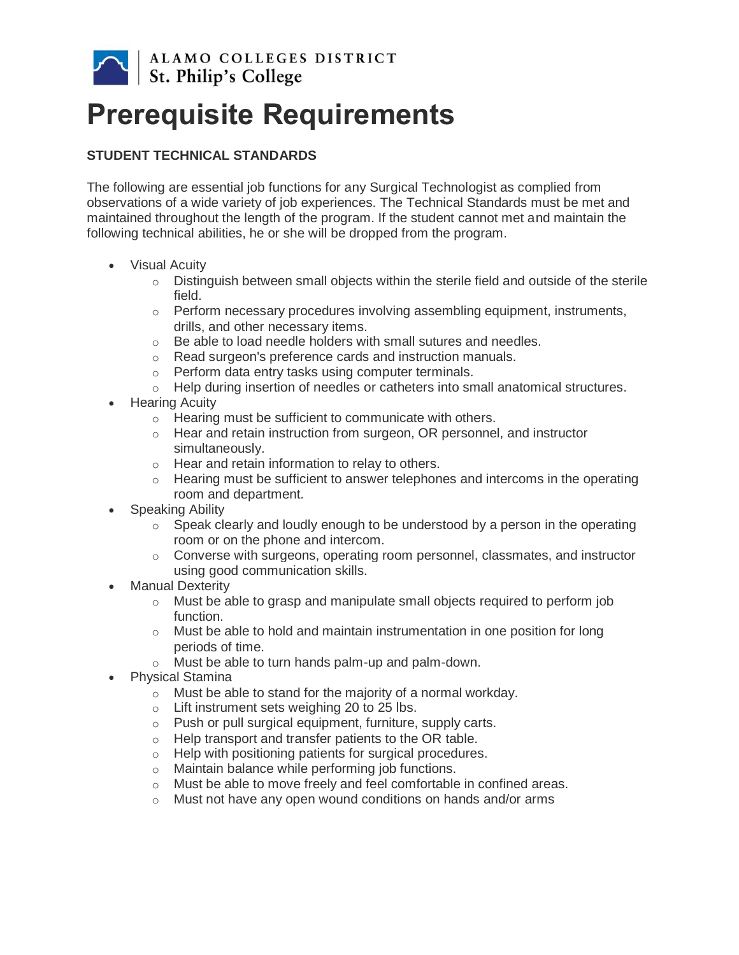

# **Prerequisite Requirements**

## **STUDENT TECHNICAL STANDARDS**

The following are essential job functions for any Surgical Technologist as complied from observations of a wide variety of job experiences. The Technical Standards must be met and maintained throughout the length of the program. If the student cannot met and maintain the following technical abilities, he or she will be dropped from the program.

- Visual Acuity
	- $\circ$  Distinguish between small objects within the sterile field and outside of the sterile field.
	- $\circ$  Perform necessary procedures involving assembling equipment, instruments, drills, and other necessary items.
	- o Be able to load needle holders with small sutures and needles.
	- o Read surgeon's preference cards and instruction manuals.
	- o Perform data entry tasks using computer terminals.
	- o Help during insertion of needles or catheters into small anatomical structures.
- Hearing Acuity
	- o Hearing must be sufficient to communicate with others.
	- $\circ$  Hear and retain instruction from surgeon, OR personnel, and instructor simultaneously.
	- o Hear and retain information to relay to others.
	- o Hearing must be sufficient to answer telephones and intercoms in the operating room and department.
- Speaking Ability
	- $\circ$  Speak clearly and loudly enough to be understood by a person in the operating room or on the phone and intercom.
	- o Converse with surgeons, operating room personnel, classmates, and instructor using good communication skills.
- Manual Dexterity
	- $\circ$  Must be able to grasp and manipulate small objects required to perform job function.
	- $\circ$  Must be able to hold and maintain instrumentation in one position for long periods of time.
	- o Must be able to turn hands palm-up and palm-down.
- Physical Stamina
	- o Must be able to stand for the majority of a normal workday.
	- o Lift instrument sets weighing 20 to 25 lbs.
	- o Push or pull surgical equipment, furniture, supply carts.
	- o Help transport and transfer patients to the OR table.
	- o Help with positioning patients for surgical procedures.
	- o Maintain balance while performing job functions.
	- o Must be able to move freely and feel comfortable in confined areas.
	- o Must not have any open wound conditions on hands and/or arms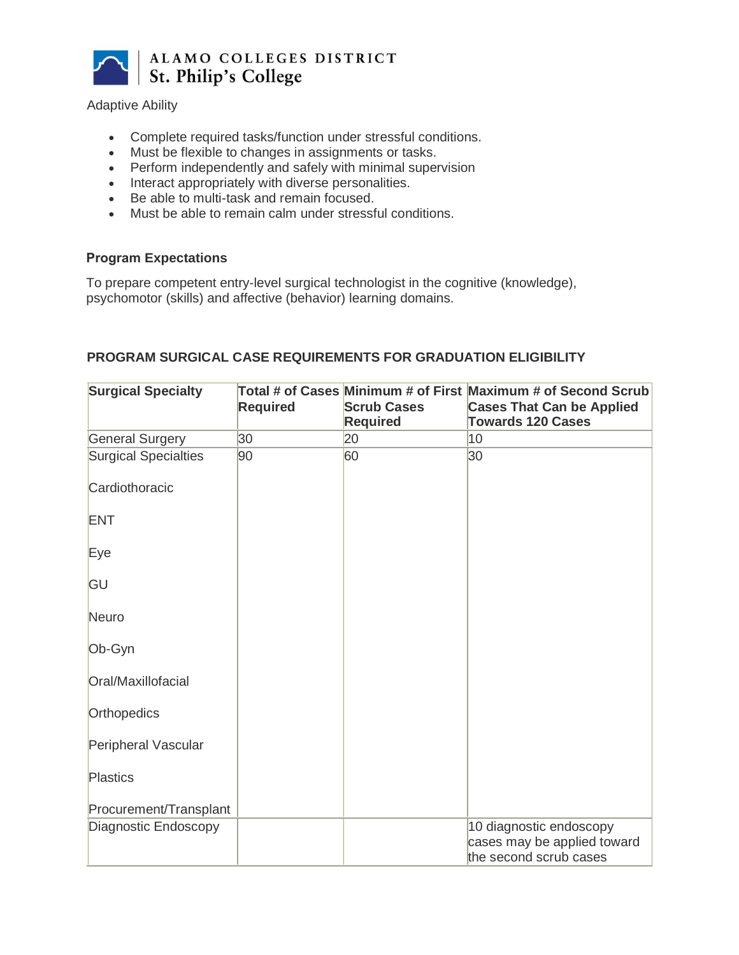

#### Adaptive Ability

- Complete required tasks/function under stressful conditions.
- Must be flexible to changes in assignments or tasks.
- Perform independently and safely with minimal supervision
- Interact appropriately with diverse personalities.
- Be able to multi-task and remain focused.
- Must be able to remain calm under stressful conditions.

#### **Program Expectations**

To prepare competent entry-level surgical technologist in the cognitive (knowledge), psychomotor (skills) and affective (behavior) learning domains.

| <b>Surgical Specialty</b>   | <b>Required</b> | <b>Scrub Cases</b><br><b>Required</b> | Total # of Cases Minimum # of First Maximum # of Second Scrub<br><b>Cases That Can be Applied</b><br><b>Towards 120 Cases</b> |
|-----------------------------|-----------------|---------------------------------------|-------------------------------------------------------------------------------------------------------------------------------|
| <b>General Surgery</b>      | 30              | 20                                    | 10                                                                                                                            |
| <b>Surgical Specialties</b> | 90              | 60                                    | 30                                                                                                                            |
| Cardiothoracic              |                 |                                       |                                                                                                                               |
| <b>ENT</b>                  |                 |                                       |                                                                                                                               |
| Eye                         |                 |                                       |                                                                                                                               |
| GU                          |                 |                                       |                                                                                                                               |
| <b>Neuro</b>                |                 |                                       |                                                                                                                               |
| Ob-Gyn                      |                 |                                       |                                                                                                                               |
| Oral/Maxillofacial          |                 |                                       |                                                                                                                               |
| <b>Orthopedics</b>          |                 |                                       |                                                                                                                               |
| Peripheral Vascular         |                 |                                       |                                                                                                                               |
| <b>Plastics</b>             |                 |                                       |                                                                                                                               |
| Procurement/Transplant      |                 |                                       |                                                                                                                               |
| Diagnostic Endoscopy        |                 |                                       | 10 diagnostic endoscopy                                                                                                       |
|                             |                 |                                       | cases may be applied toward                                                                                                   |
|                             |                 |                                       | the second scrub cases                                                                                                        |

#### **PROGRAM SURGICAL CASE REQUIREMENTS FOR GRADUATION ELIGIBILITY**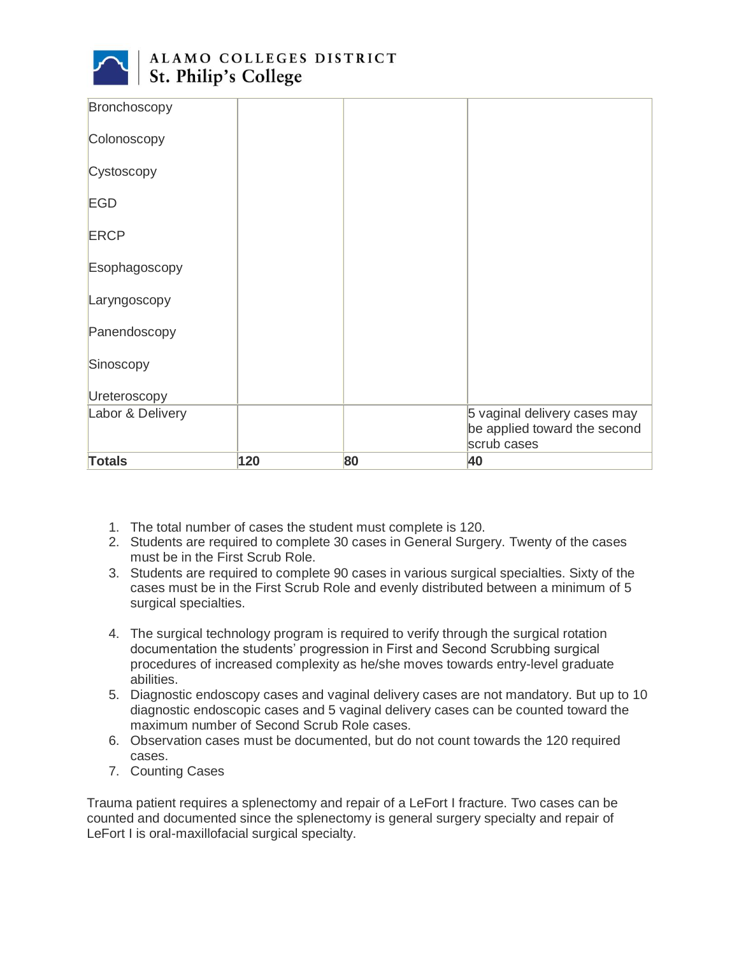

| Bronchoscopy     |     |    |                                                                             |
|------------------|-----|----|-----------------------------------------------------------------------------|
| Colonoscopy      |     |    |                                                                             |
| Cystoscopy       |     |    |                                                                             |
| <b>EGD</b>       |     |    |                                                                             |
| <b>ERCP</b>      |     |    |                                                                             |
| Esophagoscopy    |     |    |                                                                             |
| Laryngoscopy     |     |    |                                                                             |
| Panendoscopy     |     |    |                                                                             |
| Sinoscopy        |     |    |                                                                             |
| Ureteroscopy     |     |    |                                                                             |
| Labor & Delivery |     |    | 5 vaginal delivery cases may<br>be applied toward the second<br>scrub cases |
| <b>Totals</b>    | 120 | 80 | 40                                                                          |

- 1. The total number of cases the student must complete is 120.
- 2. Students are required to complete 30 cases in General Surgery. Twenty of the cases must be in the First Scrub Role.
- 3. Students are required to complete 90 cases in various surgical specialties. Sixty of the cases must be in the First Scrub Role and evenly distributed between a minimum of 5 surgical specialties.
- 4. The surgical technology program is required to verify through the surgical rotation documentation the students' progression in First and Second Scrubbing surgical procedures of increased complexity as he/she moves towards entry-level graduate abilities.
- 5. Diagnostic endoscopy cases and vaginal delivery cases are not mandatory. But up to 10 diagnostic endoscopic cases and 5 vaginal delivery cases can be counted toward the maximum number of Second Scrub Role cases.
- 6. Observation cases must be documented, but do not count towards the 120 required cases.
- 7. Counting Cases

Trauma patient requires a splenectomy and repair of a LeFort I fracture. Two cases can be counted and documented since the splenectomy is general surgery specialty and repair of LeFort I is oral-maxillofacial surgical specialty.